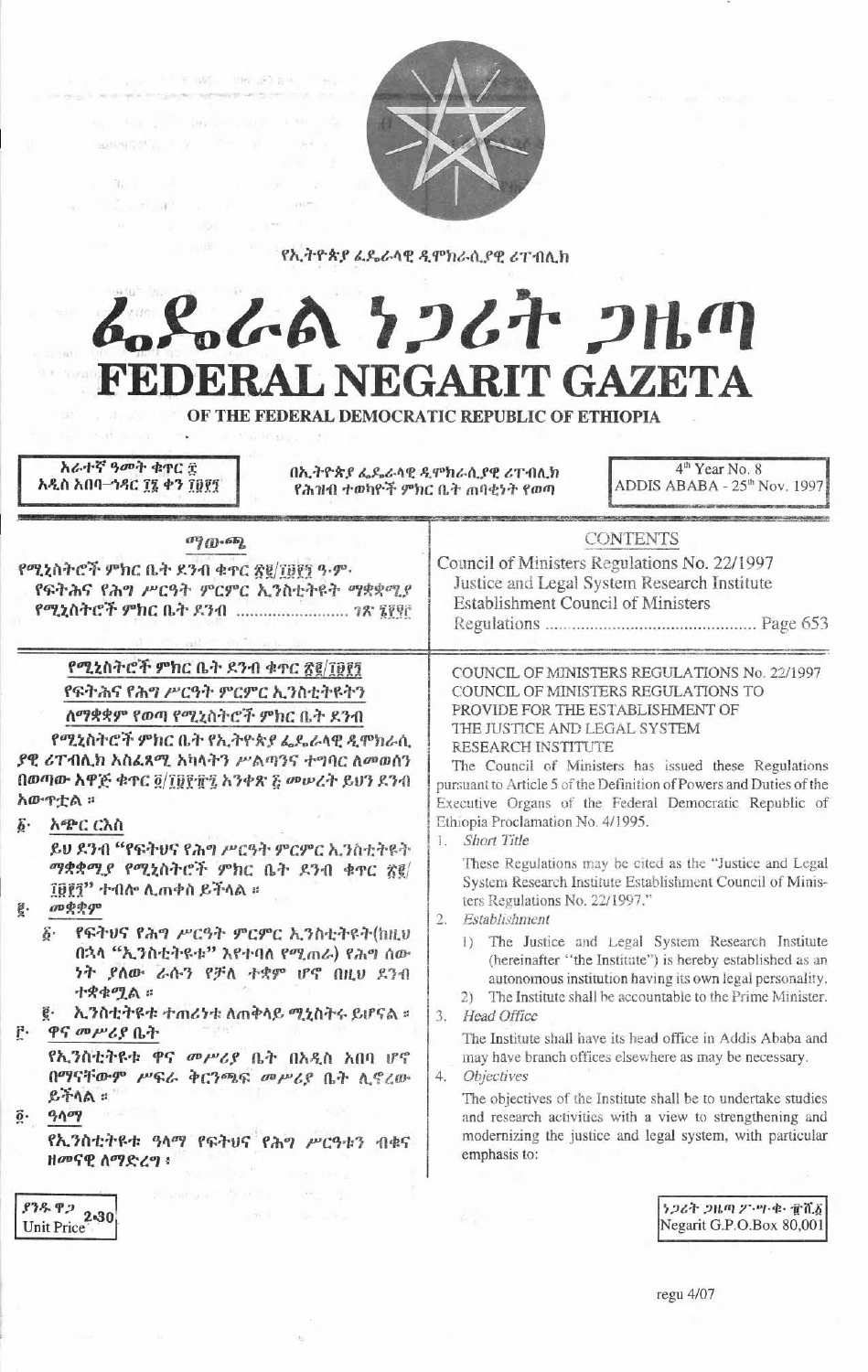

የኢትዮጵያ ፌዴራላዊ ዲሞክራሲያዊ ሪፐብሊክ

# んぺんへ フィオ フルク FEDERAL NEGARIT GAZETA

OF THE FEDERAL DEMOCRATIC REPUBLIC OF ETHIOPIA

አራተኛ ዓመት ቁዋር ድ 4<sup>th</sup> Year No. 8 በኢትዮጵያ ፌዴራላዊ ዲምክራሲያዊ ሪፐብሊክ አዲስ አበባ-ኅዳር ፲፯ ቀን ፲፱፻፺ ADDIS ABABA - 25<sup>th</sup> Nov. 1997 የሕዝብ ተወካዮች ምክር ቤት ጠባቂነት የወጣ **CONTENTS**  $\sigma$ <sup>2</sup> $($ <sup>1</sup> $\sigma$ <sup>2</sup> $)$ Council of Ministers Regulations No. 22/1997 የሚኒስትሮች ምክር ቤት ደንብ ቁተር ጽ፪/፲፱፻፺ ዓ.ም. Justice and Legal System Research Institute የፍትሕና የሕግ ሥርዓት ምርምር ኢንስቲትዩት ማቋቋሚያ **Establishment Council of Ministers** የሚኒስትሮች ምክር ቤት ዶንብ ........................... 7ጽ ፯፻፵፫ የሚኒስትሮች ምክር ቤት ደንብ ቁጥር ጽ፪/፲፱፻፺ COUNCIL OF MINISTERS REGULATIONS No. 22/1997 የፍትሕና የሕግ ሥርዓት ምርምር ኢንስቲትዩትን COUNCIL OF MINISTERS REGULATIONS TO PROVIDE FOR THE ESTABLISHMENT OF ለማቋቋም የወጣ የሚኒስትሮች ምክር ቤት ደንብ THE JUSTICE AND LEGAL SYSTEM የሚኒስትሮች ምክር ቤት የኢትዮጵያ ፌዴራላዊ ዲሞክራሲ RESEARCH INSTITUTE ያዊ ሪፐብሲክ አስፈጻሚ አካላትን ሥልጣንና ተግባር ለመወሰን The Council of Ministers has issued these Regulations በወጣው አዋጅ ቁጥር ፬/፲፱፻፹፯ አንቀጽ ፩ መሥረት ይህን ደንብ pursuant to Article 5 of the Definition of Powers and Duties of the አውዮቷል ። Executive Organs of the Federal Democratic Republic of Ethiopia Proclamation No. 4/1995. δ· አጭር ርእስ 1. Short Title ይህ ደንብ "የፍትሀና የሕግ ሥርዓት ምርምር ኢንስቲትዩት These Regulations may be cited as the "Justice and Legal ማቋቋሚያ የሚኒስትሮች ምክር ቤት ደንብ ቁጥር ጽ፪/ System Research Institute Establishment Council of Minis-፲፱፻፺" ተብሎ ሊጠቀስ ይችላል ። ters Regulations No. 22/1997." **ав**ерфур g. 2. Establishment የፍትህና የሕግ ሥርዓት ምርምር ኢንስቲትዩት(ከዚህ 1) The Justice and Legal System Research Institute በኋላ "ኢንስቲትዩቱ" እየተባለ የሚጠራ) የሕግ ሰው (hereinafter "the Institute") is hereby established as an ነት ያለው ራሱን የቻለ ተቋም ሆኖ በዚህ ደንብ autonomous institution having its own legal personality. ተቋቁሚል ። 2) The Institute shall be accountable to the Prime Minister. ኢንስቲትዩቱ ተጠሪነቱ ለጠቅላይ ሚኒስትሩ ይሆናል ።  $\vec{e}$ . 3. Head Office ዋና መሥሪያ ቤት F. The Institute shall have its head office in Addis Ababa and የኢንስቲትዩቱ ዋና መሥሪያ ቤት በአዲስ አበባ ሆኖ may have branch offices elsewhere as may be necessary. በማናቸውም ሥፍራ ቅርንጫፍ መሥሪያ ቤት ሲኖረው  $4 -$ *Objectives*  $2 + 40$ The objectives of the Institute shall be to undertake studies  $90q$  $\ddot{\mathbf{0}}$ . and research activities with a view to strengthening and modernizing the justice and legal system, with particular የኢንስቲትዩቱ ዓላማ የፍትሀና የሕግ ሥርዓቱን ብቁና emphasis to: ዘመናዊ ለማድረግ ፡  $93892$  2.30 うつるそ つルの グ・ツ・セ・ 電査る Negarit G.P.O.Box 80,001 Unit Price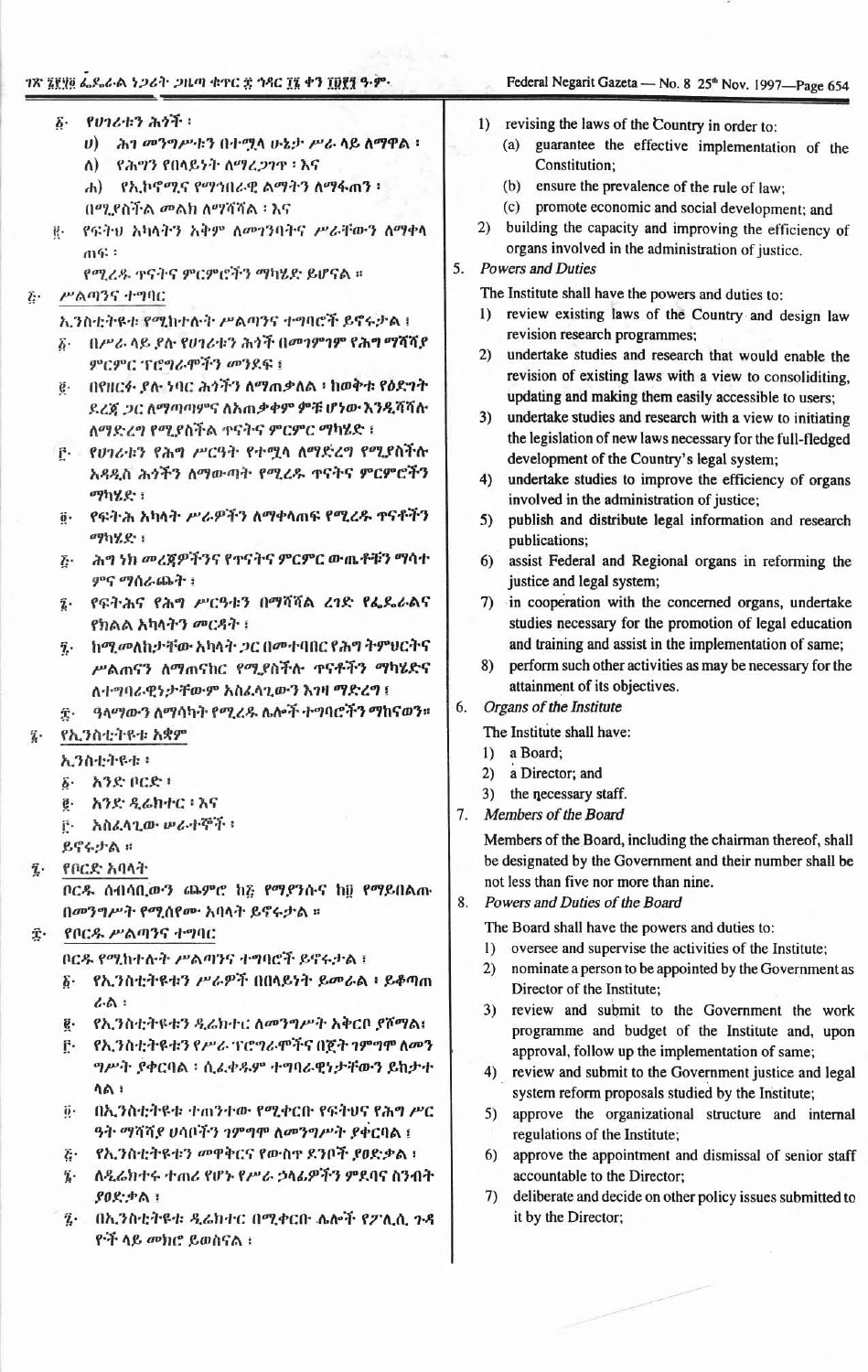## ገጽ ኔየሃፅ ፌዶራል ነጋሪት ጋዜጣ ቁጥር ድ ኅዳር ፲፮ ቀን ፲፱፻፺ ዓ.ም.

የሕግን የበላይነት ለማረጋገጥ ፡ እና

በሚደስችል መልክ ለማሻሻል ፡ እና

ምርምር ፕሮግራሞችን መንደፍ ፤

ሐ) የኢኮኖሚና የማኅበራዊ ልማትን ለማፋጠን ፡

የሚረዱ ተናትና ምርምሮችን ማካሄድ ይሆናል ።

ኢንስቲትዩቱ የሚከተሉት ሥልጣንና ተግባሮች ይኖሩታል !

ለማድረግ የሚያስችል ተናትና ምርምር ማካሄድ ፣

F የሀገሪቱን የሕግ ሥርዓት የተሟላ ለማድረግ የሚያስችሉ

፩ በሥራ ላይ ደስ የሀገሪቱን ሕጎች በመገምገም የሕግ ማሻሻያ

በየዘርፉ ያሉ ነባር ሕጎችን ለማጠቃለል ፣ ከወቅቱ የዕድገት

ደረጃ ጋር ለማጣጣምና ለአጠቃቀም ምቹ ሆነው እንዲሻሻሉ

አዳዲስ ሕጎችን ለማውጣት የሚረዱ ተናትና ምርምሮችን

የፍትሕ አካላት ሥራዎችን ለማቀላጠፍ የሚረዱ ተናቶችን

ሕግ ነክ መረጀዎችንና የተናትና ምርምር ውጤቶቹን ማሳተ

የፍትሕና የሕግ ሥርዓቱን በማሻሻል ረገድ የፌዴራልና

ከሚመለከታቸው አካላት ጋር በመተባበር የሕግ ትምሀርትና

ሥልጠናን ለማጠናከር የሚያስችሉ ጥናቶችን ማካሄድና

ዓላማውን ለማሳካት የሚረዱ ሌሎች ተግባሮችን ማከናወን።

ለተግባራዊነታቸውም አስፈላጊውን እንዛ ማድረግ ፣

ሀ) ሕገ መንግሥቱን በተሟላ ሁኔታ ሥራ ላይ ለማዋል።

የፍትህ አካላትን አቅም ለመገንባትና ሥራቸውን ለማቀላ

る የሀገሪቱን ሕጎች:

 $\Lambda$ )

m年:

ሥልጣንና ተግባር

ማካሂድ ፣

ማካሂድ ፡

የኢንስቲትዩቱ አቋም

δ· አንድ ቦርድ ፡

አንድ ዲሬክተር ፡ እና

የቦርዱ ሥልጣንና ተግባር

አስፈላጊው ሥራተኞች ፡

በመንግሥት የሚሰየሙ አባላት ይኖሩታል ።

ቦርዱ የሚከተሉት ሥልጣንና ተግባሮች ይኖሩታል ፣

ኢንስቲትዩቱ ፡

ይኖሩታል ።

የቦርድ አባላት

 $4.0.1$ 

ያዐድቃል ፣

ዮች ላይ መክሮ ይወስናል ፡

ምና ማሰራጨት ፣

የክልል አካላትን መርዳት ፣

 $\ddot{e}$ .

 $\ddot{\text{g}}$  .

ö.

 $\tilde{L}$ .

 $\bar{\mathbf{z}}$ .

 $\tilde{\mathbf{z}}$ .

全.

ę.

 $\mathbf{r}$ .

 $\delta$ .

ğ.

ŕ٠

 $\tilde{c}$ .

ï.

 $\tilde{\mathbf{z}}$ .

ĝ.

 $\ddot{i}$ .

## Federal Negarit Gazeta - No. 8 25th Nov. 1997-Page 654

## 1) revising the laws of the Country in order to:

- (a) guarantee the effective implementation of the Constitution;
- (b) ensure the prevalence of the rule of law:
- (c) promote economic and social development; and
- 2) building the capacity and improving the efficiency of organs involved in the administration of justice.

#### **Powers and Duties** 5.

The Institute shall have the powers and duties to:

- 1) review existing laws of the Country and design law revision research programmes;
- $2)$ undertake studies and research that would enable the revision of existing laws with a view to consoliditing, updating and making them easily accessible to users;
- $3)$ undertake studies and research with a view to initiating the legislation of new laws necessary for the full-fledged development of the Country's legal system;
- undertake studies to improve the efficiency of organs 4) involved in the administration of justice;
- 5) publish and distribute legal information and research publications;
- assist Federal and Regional organs in reforming the 6) justice and legal system;
- 7) in cooperation with the concerned organs, undertake studies necessary for the promotion of legal education and training and assist in the implementation of same;
- 8) perform such other activities as may be necessary for the attainment of its objectives.

#### 6. Organs of the Institute

The Institute shall have:

- 1) a Board;
- 2) a Director; and
- 3) the necessary staff.
- 7. Members of the Board

Members of the Board, including the chairman thereof, shall be designated by the Government and their number shall be not less than five nor more than nine.

Powers and Duties of the Board 8.

The Board shall have the powers and duties to:

- 1) oversee and supervise the activities of the Institute;
- nominate a person to be appointed by the Government as 2) Director of the Institute:
- $3)$ review and submit to the Government the work programme and budget of the Institute and, upon approval, follow up the implementation of same;
- 4) review and submit to the Government justice and legal system reform proposals studied by the Institute;
- 5) approve the organizational structure and internal regulations of the Institute;
- 6) approve the appointment and dismissal of senior staff accountable to the Director;
- 7) deliberate and decide on other policy issues submitted to it by the Director;
- ሳል ፡ በኢንስቲትዩቱ ተጠንተው የሚቀርቡ የፍትህና የሕግ ሥር
- ግሥት ያቀርባል ፡ ሲሬቀዱም ተግባራዊነታቸውን ይከታተ

ቦርዱ ሰብሳቢውን ጨምሮ ከ፩ የማያንሱና ከ፱ የማይበልጡ

የኢንስቲትዩቱን ሥራዎች በበላይነት ይመራል ፣ ይቆጣጠ

የኢንስቲትዩቱን ዲሬክተር ለመንግሥት አቅርቦ ያሾማል፤

የኢንስቲትዩቱን የሥራ ፕሮግራሞችና በጀት ገምግሞ ለመን

- $\ddot{\mathbf{0}}$ .
- 
- 
- 
- 
- 
- 
- 
- 
- 
- -

ለዲሬክተሩ ተጠሪ የሆኑ የሥራ ኃላፊዎችን ምደባና ስንብት

ฐ. በኢንስቲትዩቱ ዲሬክተር በሚቀርቡ ሌሎች የፖሊሲ ጉዳ

- 
- ዓት ማሻሻያ ሀሳቦችን ገምግሞ ስመንግሥት ያቀርባል ፣ የኢንስቲትዩቱን መዋቅርና የውስተ ደንቦች ያፀድቃል ፣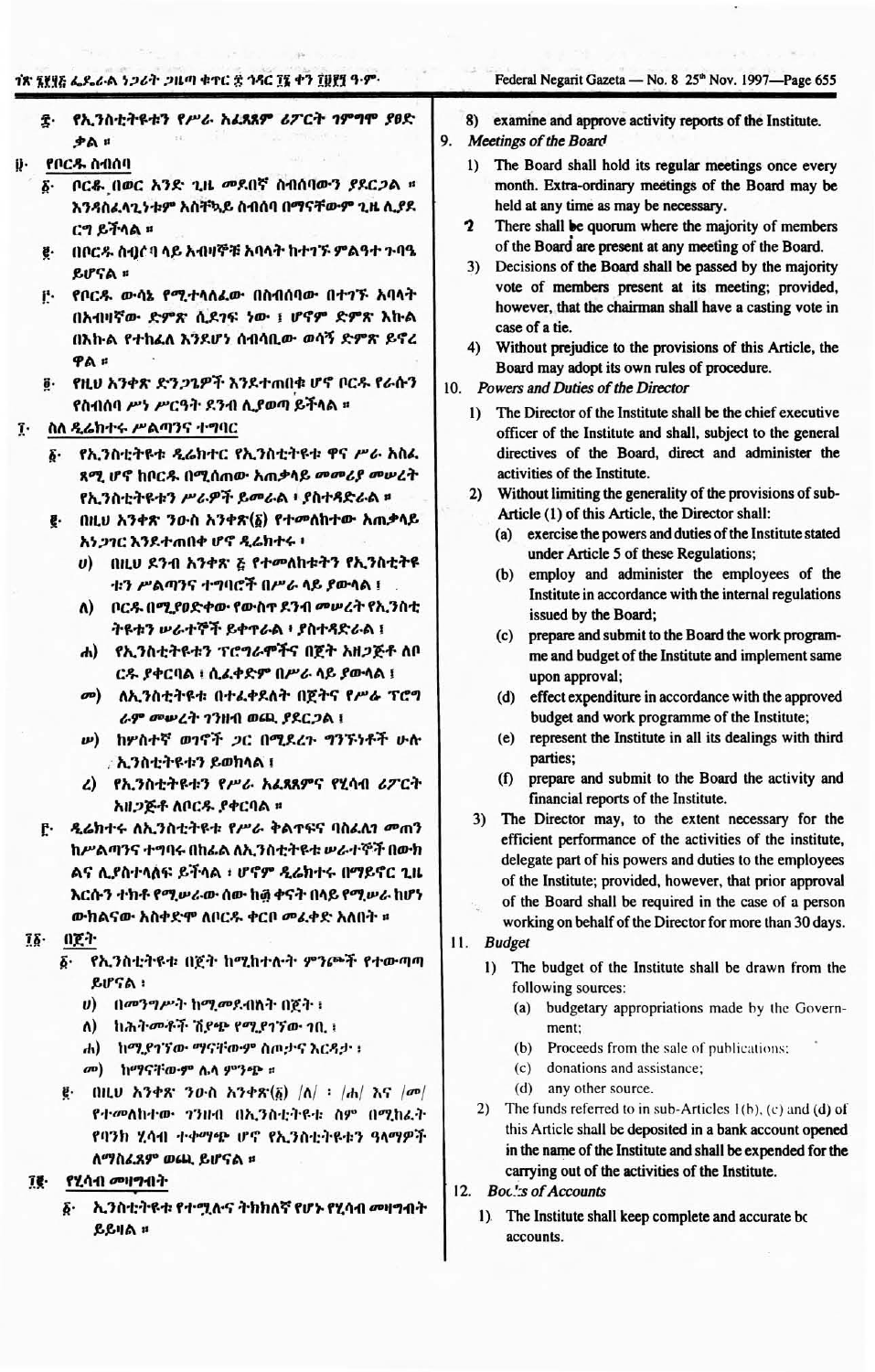### 18 ነሃሃይ ፌዶራል ነ*ጋ*ሪት *ጋ*ዜጣ ቁተር ፰ ኅጻር ፲፯ ቀን ፲፱፻፺ ዓ-ም-

### Federal Negarit Gazeta - No. 8 25<sup>th</sup> Nov. 1997-Page 655

- ድ- የኢንስቲትዩቱን የሥራ አፊጸጸም ሪፖርት ገምግሞ ያፀድ ቃል ።
- የቦርዱ ስብሰባ
	- ቦርቆ በወር አንድ ጊዜ መደበኛ ስብሰባውን ያደርጋል ፡፡ አ٠ እንዳስፌላጊንቱም አስቸኳይ ስብሰባ በማናቸውም ጊዜ ሊያደ ርግ ይችላል ።
	- በቦርዱ ስብርባ ላይ አብዛኞቹ አባላት ከተገኙ ምልዓተ ጉባዔ ē. ይሆናል ።
	- የቦርዱ ውሳኔ የሚተላለፈው በስብሰባው በተገኙ አባላት F. በአብዛኛው ድምጽ ሲደገፍ ነው ፣ ሆኖም ድምጽ እኩል በእኩል የተከፈለ እንደሆነ ሰብሳቢው ወሳኝ ድምጽ ይኖረ ዋል ።
	- ē· የዚህ አንቀጽ ድን*ጋጌ*ዎች እንደተጠበቁ ሆኖ ቦርዱ የራሱን የስብሰባ ሥነ ሥርዓት ደንብ ሊያወጣ ይችላል ፡፡
- Ţ. ስለ ዲሬክተሩ ሥልጣንና ተግባር
	- የኢንስቲትዩቱ ዲሬክተር የኢንስቲትዩቱ ዋና ሥራ አስፌ  $\delta$ . ጻሚ ሆኖ ከቦርዱ በሚሰጠው አጠቃላይ መመሪያ መሠረት የኢንስቲትዩቱን ሥራዎች ይመራል ፣ ያስተዳድራል ፡፡
	- €· በዚህ አንቀጽ ንዑስ አንቀጽ(δ) የተመለከተው አጠቃላይ አነጋገር እንደተጠበቀ ሆኖ ዲሬክተሩ ፡
		- υ) በዚህ ደንብ አንቀጽ *፮ የተመለ*ከቱትን የኢንስቲትዩ ቱን ሥልጣንና ተግባሮች በሥራ ላይ ያውላል ፣
		- ለ) ቦርዱ በሚያዐድቀው የውስተ ደንብ መሠረት የኢንስቲ ትዩቱን ሥራተኞች ይቀተራል ፥ ያስተጻድራል ፤
		- ሐ) የኢንስቲትዩቱን ፕሮግራሞችና በጀት አዘጋጅቶ ለቦ ርዱ ያቀርባል ፡ ሲፈቀድም በሥራ ላይ ያውሳል ፣
		- መ) ለኢንስቲትዩቱ በተፈቀደለት በጀትና የሥራ ፕሮግ ራም መሠረት ገንዘብ ወጪ ያደርጋል ፣
		- **w) ከሦስተኛ ወገኖች ጋር በሚደረጉ ግንኙነቶች ሁሉ** : ኢንስቲትዩቱን ይወክላል ፣
		- ረ) የኢንስቲትዩቱን የሥራ አፈጻጸምና የሂሳብ ሪፖርት አዘጋጅቶ ለቦርዱ ያቀርባል ፡፡
	- ዲሬክተሩ ለኢንስቲትዩቱ የሥራ ቅልተፍና ባስፈሊን መጠን ր. ከሥልጣንና ተግባሩ በከፊል ለኢንስቲትዩቱ ሥራተኞች በውክ ልና ሊያስተላለፍ ይችላል ፡ ሆኖም ዲሬክተሩ በማይኖር ጊዜ እርሱን ተክቶ የሚሥራው ሰው ከ፴ ቀናት በላይ የሚሥራ ከሆነ ውክልናው አስቀድሞ ለቦርዱ ቀርቦ መፈቀድ አለበት ፡፡
- $\mathbf{1}\mathbf{\delta}$ . በጀት
	- ã. የኢንስቲትዩቱ በጀት ከሚከተሉት ምንጮች የተውጣጣ ይሆናል ፡
		- ሀ) በመንግሥት ከሚመደብለት በጀት ፡
		- ለ) ከሕትመቶች ሽያጭ የሚያገኘው ነቢ ነ
		- ሐ) ከሚያገኘው ማናቸውም ስጦታና እርዳታ ፡
		- መ) ከማናቸውም ሴላ ምንጭ ።
	- $\vec{g}$  (iii, b) አንቀጽ ንውስ አንቀጽ $(\vec{\delta})$   $|\Lambda|$  :  $|\Lambda|$  እና  $|\sigma\sigma|$ የተመለከተው ገንዘብ በኢንስቲትዩቱ ስም በሚከፈት የባንክ ሂሳብ ተቀማጭ ሆኖ የኢንስቲትዩቱን ዓላማዎች ለማስፈጸም ወ**ጨ ይሆናል** ፡፡
- የሂሳብ መዛግብት ĩë.
	- ኢንስቲትዩቱ የተሟሉና ትክክለኛ የሆኑ የሂሳብ መዛግብት δ. ይይዛል ።
- examine and approve activity reports of the Institute. 8)
- 9. Meetings of the Board
	- The Board shall hold its regular meetings once every  $\mathbf{D}$ month. Extra-ordinary meetings of the Board may be held at any time as may be necessary.
	- $\mathbf{r}$ There shall be quorum where the majority of members of the Board are present at any meeting of the Board.
	- 3) Decisions of the Board shall be passed by the majority vote of members present at its meeting; provided, however, that the chairman shall have a casting vote in case of a tie.
	- Without prejudice to the provisions of this Article, the  $4)$ Board may adopt its own rules of procedure.
- 10. Powers and Duties of the Director
	- The Director of the Institute shall be the chief executive  $\mathbf{I}$ officer of the Institute and shall, subject to the general directives of the Board, direct and administer the activities of the Institute.
	- 2) Without limiting the generality of the provisions of sub-Article (1) of this Article, the Director shall:
		- exercise the powers and duties of the Institute stated  $(a)$ under Article 5 of these Regulations;
		- (b) employ and administer the employees of the Institute in accordance with the internal regulations issued by the Board;
		- (c) prepare and submit to the Board the work programme and budget of the Institute and implement same upon approval;
		- (d) effect expenditure in accordance with the approved budget and work programme of the Institute;
		- (e) represent the Institute in all its dealings with third parties;
		- prepare and submit to the Board the activity and  $(f)$ financial reports of the Institute.
	- 3) The Director may, to the extent necessary for the efficient performance of the activities of the institute, delegate part of his powers and duties to the employees of the Institute; provided, however, that prior approval of the Board shall be required in the case of a person working on behalf of the Director for more than 30 days.

11. Budget

- $1)$ The budget of the Institute shall be drawn from the following sources:
	- (a) budgetary appropriations made by the Government:
	- (b) Proceeds from the sale of publications:
	- (c) donations and assistance;
	- (d) any other source.
- 2) The funds referred to in sub-Articles  $1(b)$ , (c) and (d) of this Article shall be deposited in a bank account opened in the name of the Institute and shall be expended for the carrying out of the activities of the Institute.
- 12. Boc.'s of Accounts
	- 1) The Institute shall keep complete and accurate bo accounts.